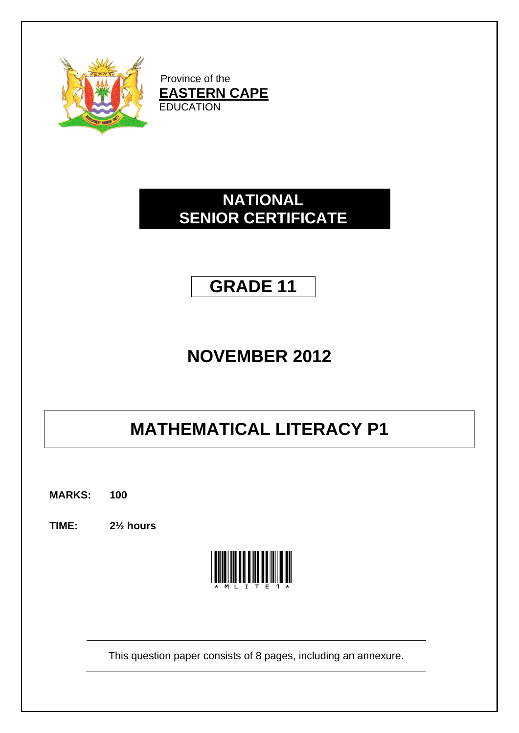

Province of the **EASTERN CAPE EDUCATION** 

## **NATIONAL SENIOR CERTIFICATE**

## **GRADE 11**

## **NOVEMBER 2012**

# **MATHEMATICAL LITERACY P1**

**MARKS: 100**

**TIME: 2½ hours**



This question paper consists of 8 pages, including an annexure.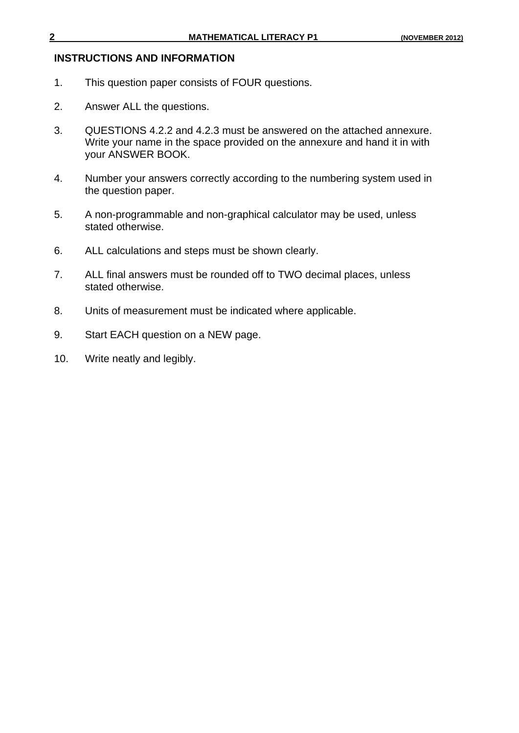#### **INSTRUCTIONS AND INFORMATION**

- 1. This question paper consists of FOUR questions.
- 2. Answer ALL the questions.
- 3. QUESTIONS 4.2.2 and 4.2.3 must be answered on the attached annexure. Write your name in the space provided on the annexure and hand it in with your ANSWER BOOK.
- 4. Number your answers correctly according to the numbering system used in the question paper.
- 5. A non-programmable and non-graphical calculator may be used, unless stated otherwise.
- 6. ALL calculations and steps must be shown clearly.
- 7. ALL final answers must be rounded off to TWO decimal places, unless stated otherwise.
- 8. Units of measurement must be indicated where applicable.
- 9. Start EACH question on a NEW page.
- 10. Write neatly and legibly.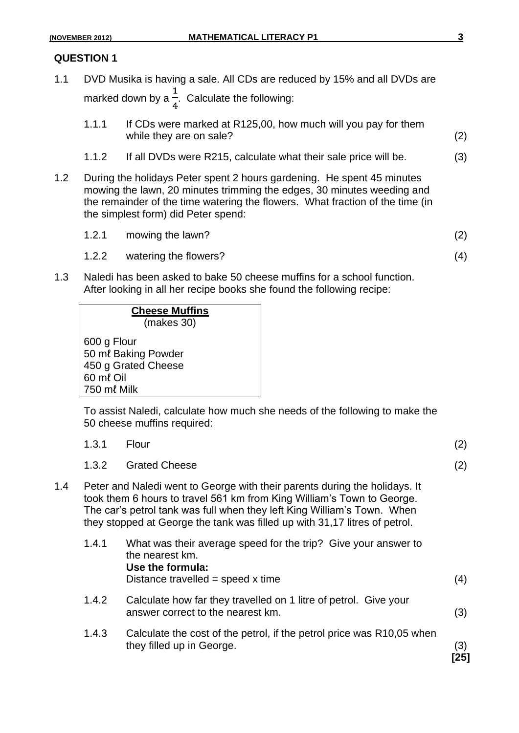- 1.1 DVD Musika is having a sale. All CDs are reduced by 15% and all DVDs are marked down by a  $\frac{1}{4}$ . Calculate the following:
	- 1.1.1 If CDs were marked at R125,00, how much will you pay for them while they are on sale? (2)
	- 1.1.2 If all DVDs were R215, calculate what their sale price will be. (3)
- 1.2 During the holidays Peter spent 2 hours gardening. He spent 45 minutes mowing the lawn, 20 minutes trimming the edges, 30 minutes weeding and the remainder of the time watering the flowers. What fraction of the time (in the simplest form) did Peter spend:
	- 1.2.1 mowing the lawn? (2)
	- 1.2.2 watering the flowers? (4)
- 1.3 Naledi has been asked to bake 50 cheese muffins for a school function. After looking in all her recipe books she found the following recipe:

| <b>Cheese Muffins</b>                                                  |  |
|------------------------------------------------------------------------|--|
| (makes 30)                                                             |  |
| 600 g Flour<br>50 ml Baking Powder<br>450 g Grated Cheese<br>60 ml Oil |  |
| 750 ml Milk                                                            |  |

To assist Naledi, calculate how much she needs of the following to make the 50 cheese muffins required:

|     | 1.3.1 | Flour                                                                                                                                                                                                                                                                                                         | (2) |
|-----|-------|---------------------------------------------------------------------------------------------------------------------------------------------------------------------------------------------------------------------------------------------------------------------------------------------------------------|-----|
|     | 1.3.2 | <b>Grated Cheese</b>                                                                                                                                                                                                                                                                                          | (2) |
| 1.4 |       | Peter and Naledi went to George with their parents during the holidays. It<br>took them 6 hours to travel 561 km from King William's Town to George.<br>The car's petrol tank was full when they left King William's Town. When<br>they stopped at George the tank was filled up with 31,17 litres of petrol. |     |
|     | 1.4.1 | What was their average speed for the trip? Give your answer to<br>the nearest km.<br>Use the formula:<br>Distance travelled = speed $x$ time                                                                                                                                                                  | (4) |
|     | 1.4.2 | Calculate how far they travelled on 1 litre of petrol. Give your<br>answer correct to the nearest km.                                                                                                                                                                                                         | (3) |
|     | 1.4.3 | Calculate the cost of the petrol, if the petrol price was R10,05 when<br>they filled up in George.                                                                                                                                                                                                            | (3) |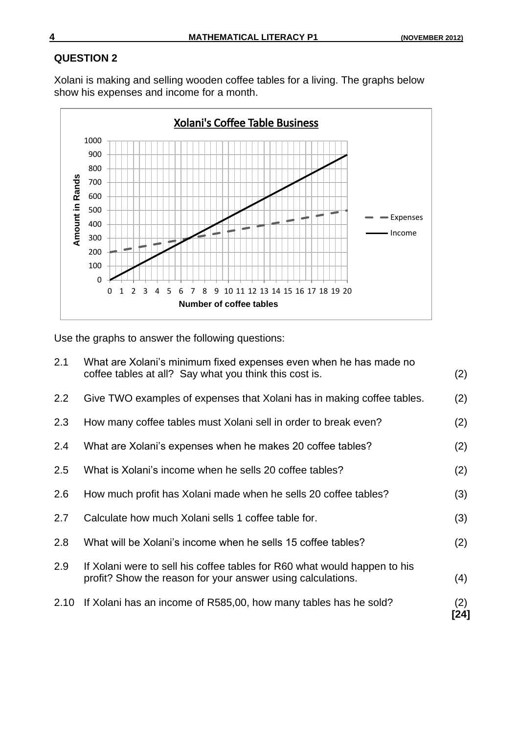Xolani is making and selling wooden coffee tables for a living. The graphs below show his expenses and income for a month.



Use the graphs to answer the following questions:

| 2.1  | What are Xolani's minimum fixed expenses even when he has made no<br>coffee tables at all? Say what you think this cost is.              | (2)         |
|------|------------------------------------------------------------------------------------------------------------------------------------------|-------------|
| 2.2  | Give TWO examples of expenses that Xolani has in making coffee tables.                                                                   | (2)         |
| 2.3  | How many coffee tables must Xolani sell in order to break even?                                                                          | (2)         |
| 2.4  | What are Xolani's expenses when he makes 20 coffee tables?                                                                               | (2)         |
| 2.5  | What is Xolani's income when he sells 20 coffee tables?                                                                                  | (2)         |
| 2.6  | How much profit has Xolani made when he sells 20 coffee tables?                                                                          | (3)         |
| 2.7  | Calculate how much Xolani sells 1 coffee table for.                                                                                      | (3)         |
| 2.8  | What will be Xolani's income when he sells 15 coffee tables?                                                                             | (2)         |
| 2.9  | If Xolani were to sell his coffee tables for R60 what would happen to his<br>profit? Show the reason for your answer using calculations. | (4)         |
| 2.10 | If Xolani has an income of R585,00, how many tables has he sold?                                                                         | (2)<br>[24] |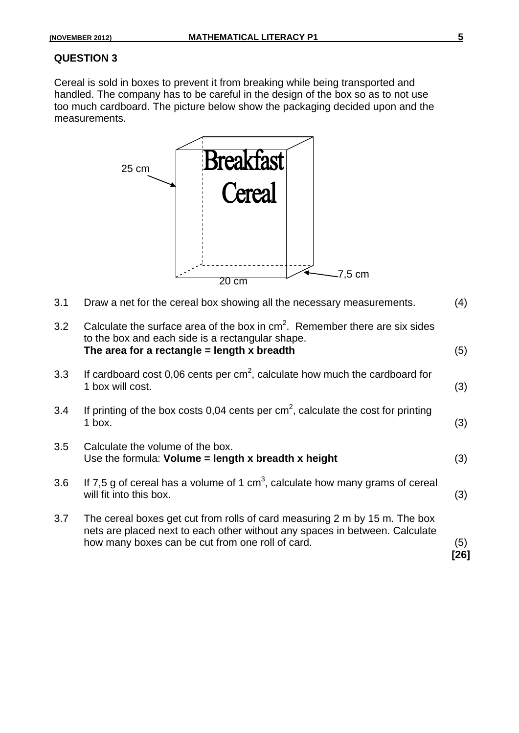Cereal is sold in boxes to prevent it from breaking while being transported and handled. The company has to be careful in the design of the box so as to not use too much cardboard. The picture below show the packaging decided upon and the measurements.

|     | <b>Breaktast</b><br>25 cm<br><b>Pereal</b>                                                                                                                                                                    |               |
|-----|---------------------------------------------------------------------------------------------------------------------------------------------------------------------------------------------------------------|---------------|
|     | $-7,5$ cm<br>20 cm                                                                                                                                                                                            |               |
| 3.1 | Draw a net for the cereal box showing all the necessary measurements.                                                                                                                                         | (4)           |
| 3.2 | Calculate the surface area of the box in $cm2$ . Remember there are six sides<br>to the box and each side is a rectangular shape.<br>The area for a rectangle $=$ length x breadth                            | (5)           |
| 3.3 | If cardboard cost 0,06 cents per $cm2$ , calculate how much the cardboard for<br>1 box will cost.                                                                                                             | (3)           |
| 3.4 | If printing of the box costs 0,04 cents per $cm2$ , calculate the cost for printing<br>1 box.                                                                                                                 | (3)           |
| 3.5 | Calculate the volume of the box.<br>Use the formula: Volume $=$ length x breadth x height                                                                                                                     | (3)           |
| 3.6 | If 7,5 g of cereal has a volume of 1 cm <sup>3</sup> , calculate how many grams of cereal<br>will fit into this box.                                                                                          | (3)           |
| 3.7 | The cereal boxes get cut from rolls of card measuring 2 m by 15 m. The box<br>nets are placed next to each other without any spaces in between. Calculate<br>how many boxes can be cut from one roll of card. | (5)<br>$[26]$ |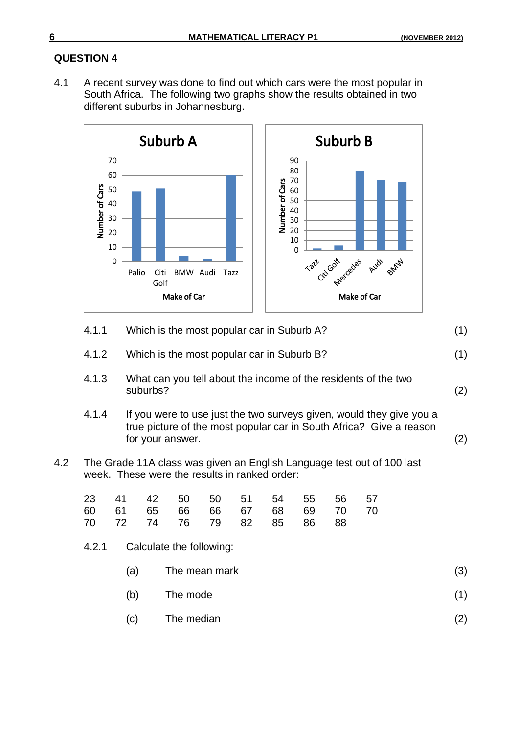4.1 A recent survey was done to find out which cars were the most popular in South Africa. The following two graphs show the results obtained in two different suburbs in Johannesburg.



|     | 4. L. L | VILICITIS LITE IIIOSL POPULAI CAL III SUDUID A?                                                                                                                 | $\left(1\right)$ |
|-----|---------|-----------------------------------------------------------------------------------------------------------------------------------------------------------------|------------------|
|     | 4.1.2   | Which is the most popular car in Suburb B?                                                                                                                      | (1)              |
|     | 4.1.3   | What can you tell about the income of the residents of the two<br>suburbs?                                                                                      | (2)              |
|     | 4.1.4   | If you were to use just the two surveys given, would they give you a<br>true picture of the most popular car in South Africa? Give a reason<br>for your answer. | (2)              |
| 4.2 |         | The Grade 11A class was given an English Language test out of 100 last<br>week. These were the results in ranked order:                                         |                  |

|  | 23 41 42 50 50 51 54 55 56 57 |  |  |  |  |
|--|-------------------------------|--|--|--|--|
|  | 60 61 65 66 66 67 68 69 70 70 |  |  |  |  |
|  | 70 72 74 76 79 82 85 86 88    |  |  |  |  |

- 4.2.1 Calculate the following:
	- (a) The mean mark (3)
	- $(b)$  The mode  $(1)$
	- (c) The median (2)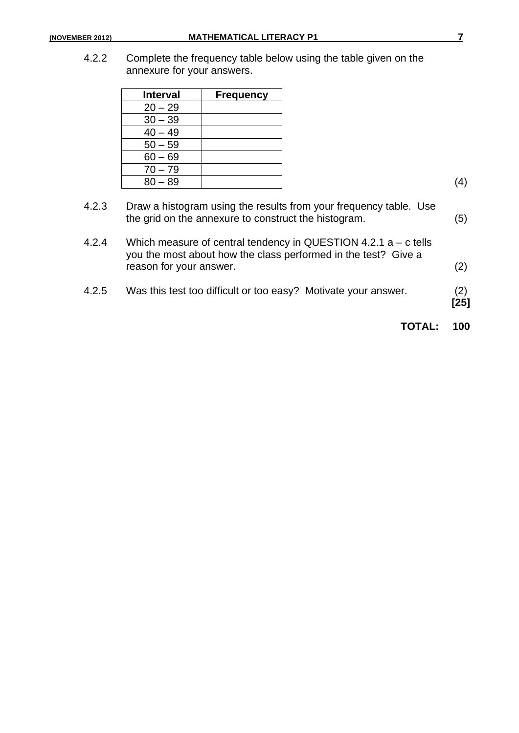4.2.2 Complete the frequency table below using the table given on the annexure for your answers.

| <b>Interval</b> | <b>Frequency</b> |
|-----------------|------------------|
| $20 - 29$       |                  |
| $30 - 39$       |                  |
| $40 - 49$       |                  |
| $50 - 59$       |                  |
| $60 - 69$       |                  |
| $70 - 79$       |                  |
| $80 - 89$       |                  |

| 4.2.5 | Was this test too difficult or too easy? Motivate your answer.                                                                                                 | (2)<br>$[25]$ |
|-------|----------------------------------------------------------------------------------------------------------------------------------------------------------------|---------------|
| 4.2.4 | Which measure of central tendency in QUESTION 4.2.1 $a - c$ tells<br>you the most about how the class performed in the test? Give a<br>reason for your answer. | (2)           |
| 4.2.3 | Draw a histogram using the results from your frequency table. Use<br>the grid on the annexure to construct the histogram.                                      | (5)           |